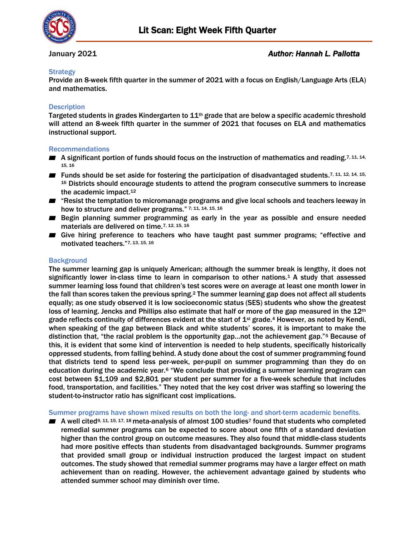

## **Strategy**

Provide an 8-week fifth quarter in the summer of 2021 with a focus on English/Language Arts (ELA) and mathematics.

## **Description**

Targeted students in grades Kindergarten to 11<sup>th</sup> grade that are below a specific academic threshold will attend an 8-week fifth quarter in the summer of 2021 that focuses on ELA and mathematics instructional support.

### Recommendations

- A significant portion of funds should focus on the instruction of mathematics and reading.<sup>7, 11, 14,</sup> 15, 16
- Funds should be set aside for fostering the participation of disadvantaged students.7, 11, 12, 14, 15, <sup>16</sup> Districts should encourage students to attend the program consecutive summers to increase the academic impact.<sup>12</sup>
- "Resist the temptation to micromanage programs and give local schools and teachers leeway in how to structure and deliver programs." 7; 11, 14, 15, 16
- Begin planning summer programming as early in the year as possible and ensure needed materials are delivered on time.7, 12, 15, 16
- Give hiring preference to teachers who have taught past summer programs; "effective and motivated teachers." 7, 13, 15, 16

### **Background**

The summer learning gap is uniquely American; although the summer break is lengthy, it does not significantly lower in-class time to learn in comparison to other nations.<sup>1</sup> A study that assessed summer learning loss found that children's test scores were on average at least one month lower in the fall than scores taken the previous spring.<sup>2</sup> The summer learning gap does not affect all students equally; as one study observed it is low socioeconomic status (SES) students who show the greatest loss of learning. Jencks and Phillips also estimate that half or more of the gap measured in the 12<sup>th</sup> grade reflects continuity of differences evident at the start of 1<sup>st</sup> grade.<sup>4</sup> However, as noted by Kendi, when speaking of the gap between Black and white students' scores, it is important to make the distinction that, "the racial problem is the opportunity gap…not the achievement gap."<sup>5</sup> Because of this, it is evident that some kind of intervention is needed to help students, specifically historically oppressed students, from falling behind. A study done about the cost of summer programming found that districts tend to spend less per-week, per-pupil on summer programming than they do on education during the academic year. $6$  "We conclude that providing a summer learning program can cost between \$1,109 and \$2,801 per student per summer for a five-week schedule that includes food, transportation, and facilities." They noted that the key cost driver was staffing so lowering the student-to-instructor ratio has significant cost implications.

Summer programs have shown mixed results on both the long- and short-term academic benefits.

 $\blacksquare$  A well cited<sup>9, 11, 15, 17, 18</sup> meta-analysis of almost 100 studies<sup>7</sup> found that students who completed remedial summer programs can be expected to score about one fifth of a standard deviation higher than the control group on outcome measures. They also found that middle-class students had more positive effects than students from disadvantaged backgrounds. Summer programs that provided small group or individual instruction produced the largest impact on student outcomes. The study showed that remedial summer programs may have a larger effect on math achievement than on reading. However, the achievement advantage gained by students who attended summer school may diminish over time.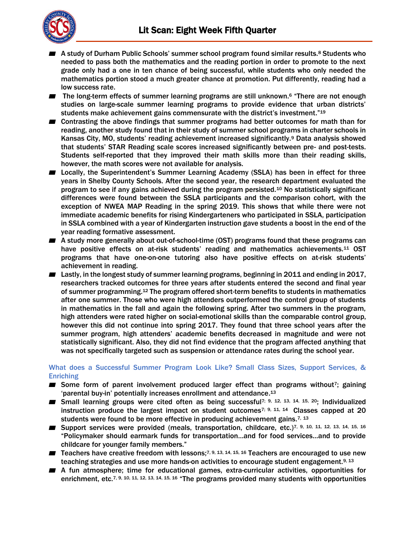

- A study of Durham Public Schools' summer school program found similar results.<sup>8</sup> Students who needed to pass both the mathematics and the reading portion in order to promote to the next grade only had a one in ten chance of being successful, while students who only needed the mathematics portion stood a much greater chance at promotion. Put differently, reading had a low success rate.
- The long-term effects of summer learning programs are still unknown.<sup>6</sup> "There are not enough studies on large-scale summer learning programs to provide evidence that urban districts' students make achievement gains commensurate with the district's investment."19
- Contrasting the above findings that summer programs had better outcomes for math than for reading, another study found that in their study of summer school programs in charter schools in Kansas City, MO, students' reading achievement increased significantly.<sup>9</sup> Data analysis showed that students' STAR Reading scale scores increased significantly between pre- and post-tests. Students self-reported that they improved their math skills more than their reading skills, however, the math scores were not available for analysis.
- Locally, the Superintendent's Summer Learning Academy (SSLA) has been in effect for three years in Shelby County Schools. After the second year, the research department evaluated the program to see if any gains achieved during the program persisted.<sup>10</sup> No statistically significant differences were found between the SSLA participants and the comparison cohort, with the exception of NWEA MAP Reading in the spring 2019. This shows that while there were not immediate academic benefits for rising Kindergarteners who participated in SSLA, participation in SSLA combined with a year of Kindergarten instruction gave students a boost in the end of the year reading formative assessment.
- A study more generally about out-of-school-time (OST) programs found that these programs can have positive effects on at-risk students' reading and mathematics achievements.<sup>11</sup> OST programs that have one-on-one tutoring also have positive effects on at-risk students' achievement in reading.
- Lastly, in the longest study of summer learning programs, beginning in 2011 and ending in 2017, researchers tracked outcomes for three years after students entered the second and final year of summer programming.<sup>12</sup> The program offered short-term benefits to students in mathematics after one summer. Those who were high attenders outperformed the control group of students in mathematics in the fall and again the following spring. After two summers in the program, high attenders were rated higher on social-emotional skills than the comparable control group, however this did not continue into spring 2017. They found that three school years after the summer program, high attenders' academic benefits decreased in magnitude and were not statistically significant. Also, they did not find evidence that the program affected anything that was not specifically targeted such as suspension or attendance rates during the school year.

# What does a Successful Summer Program Look Like? Small Class Sizes, Support Services, & **Enriching**

- Some form of parent involvement produced larger effect than programs without<sup>7</sup>; gaining 'parental buy-in' potentially increases enrollment and attendance. 13
- Small learning groups were cited often as being successful<sup>7; 9, 12, 13, 14, 15, 20</sup>; Individualized instruction produce the largest impact on student outcomes<sup>7; 9, 11, 14</sup> Classes capped at 20 students were found to be more effective in producing achievement gains.<sup>7, 13</sup>
- Support services were provided (meals, transportation, childcare, etc.)7, 9, 10, 11, 12, 13, 14, 15, 16 "Policymaker should earmark funds for transportation…and for food services…and to provide childcare for younger family members."
- Teachers have creative freedom with lessons;7, 9, 13, 14, 15, 16 Teachers are encouraged to use new teaching strategies and use more hands-on activities to encourage student engagement.<sup>9, 13</sup>
- A fun atmosphere; time for educational games, extra-curricular activities, opportunities for enrichment, etc.<sup>7, 9, 10, 11, 12, 13, 14, 15, 16</sup> "The programs provided many students with opportunities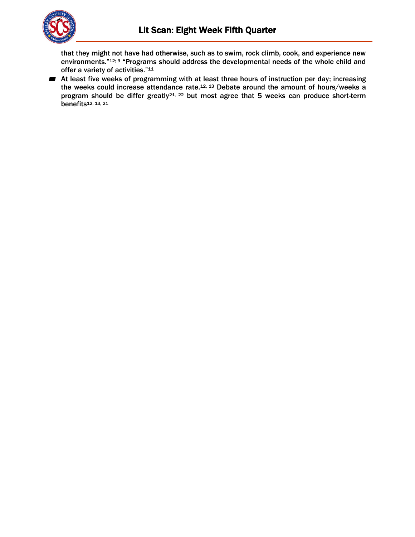

that they might not have had otherwise, such as to swim, rock climb, cook, and experience new environments."12; 9 "Programs should address the developmental needs of the whole child and offer a variety of activities."<sup>11</sup>

■ At least five weeks of programming with at least three hours of instruction per day; increasing the weeks could increase attendance rate.12, 13 Debate around the amount of hours/weeks a program should be differ greatly<sup>21, 22</sup> but most agree that 5 weeks can produce short-term benefits12, 13, 21